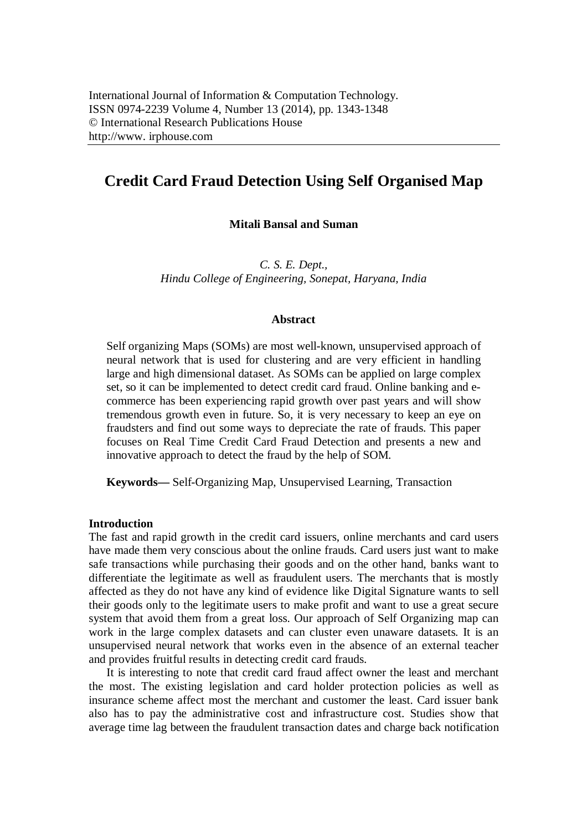# **Credit Card Fraud Detection Using Self Organised Map**

### **Mitali Bansal and Suman**

*C. S. E. Dept., Hindu College of Engineering, Sonepat, Haryana, India*

### **Abstract**

Self organizing Maps (SOMs) are most well-known, unsupervised approach of neural network that is used for clustering and are very efficient in handling large and high dimensional dataset. As SOMs can be applied on large complex set, so it can be implemented to detect credit card fraud. Online banking and ecommerce has been experiencing rapid growth over past years and will show tremendous growth even in future. So, it is very necessary to keep an eye on fraudsters and find out some ways to depreciate the rate of frauds. This paper focuses on Real Time Credit Card Fraud Detection and presents a new and innovative approach to detect the fraud by the help of SOM.

**Keywords—** Self-Organizing Map, Unsupervised Learning, Transaction

### **Introduction**

The fast and rapid growth in the credit card issuers, online merchants and card users have made them very conscious about the online frauds. Card users just want to make safe transactions while purchasing their goods and on the other hand, banks want to differentiate the legitimate as well as fraudulent users. The merchants that is mostly affected as they do not have any kind of evidence like Digital Signature wants to sell their goods only to the legitimate users to make profit and want to use a great secure system that avoid them from a great loss. Our approach of Self Organizing map can work in the large complex datasets and can cluster even unaware datasets. It is an unsupervised neural network that works even in the absence of an external teacher and provides fruitful results in detecting credit card frauds.

It is interesting to note that credit card fraud affect owner the least and merchant the most. The existing legislation and card holder protection policies as well as insurance scheme affect most the merchant and customer the least. Card issuer bank also has to pay the administrative cost and infrastructure cost. Studies show that average time lag between the fraudulent transaction dates and charge back notification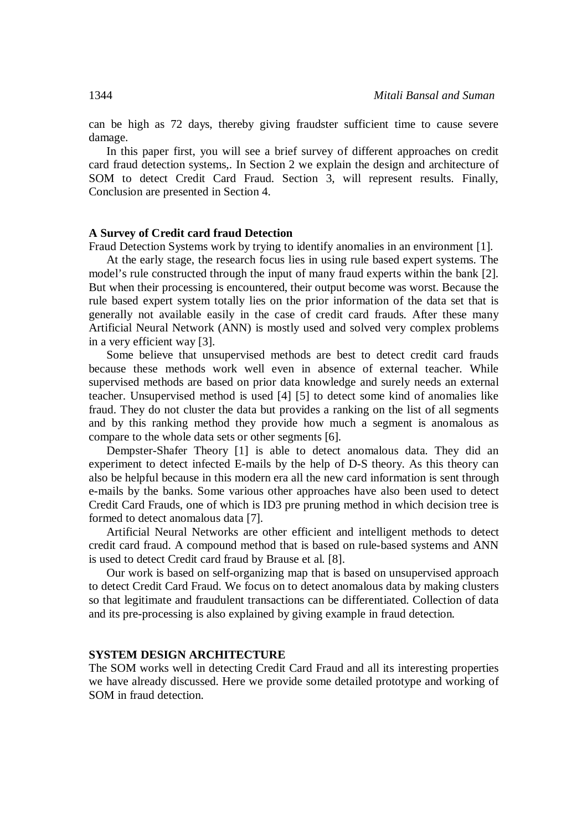can be high as 72 days, thereby giving fraudster sufficient time to cause severe damage.

In this paper first, you will see a brief survey of different approaches on credit card fraud detection systems,. In Section 2 we explain the design and architecture of SOM to detect Credit Card Fraud. Section 3, will represent results. Finally, Conclusion are presented in Section 4.

### **A Survey of Credit card fraud Detection**

Fraud Detection Systems work by trying to identify anomalies in an environment [1].

At the early stage, the research focus lies in using rule based expert systems. The model's rule constructed through the input of many fraud experts within the bank [2]. But when their processing is encountered, their output become was worst. Because the rule based expert system totally lies on the prior information of the data set that is generally not available easily in the case of credit card frauds. After these many Artificial Neural Network (ANN) is mostly used and solved very complex problems in a very efficient way [3].

Some believe that unsupervised methods are best to detect credit card frauds because these methods work well even in absence of external teacher. While supervised methods are based on prior data knowledge and surely needs an external teacher. Unsupervised method is used [4] [5] to detect some kind of anomalies like fraud. They do not cluster the data but provides a ranking on the list of all segments and by this ranking method they provide how much a segment is anomalous as compare to the whole data sets or other segments [6].

Dempster-Shafer Theory [1] is able to detect anomalous data. They did an experiment to detect infected E-mails by the help of D-S theory. As this theory can also be helpful because in this modern era all the new card information is sent through e-mails by the banks. Some various other approaches have also been used to detect Credit Card Frauds, one of which is ID3 pre pruning method in which decision tree is formed to detect anomalous data [7].

Artificial Neural Networks are other efficient and intelligent methods to detect credit card fraud. A compound method that is based on rule-based systems and ANN is used to detect Credit card fraud by Brause et al. [8].

Our work is based on self-organizing map that is based on unsupervised approach to detect Credit Card Fraud. We focus on to detect anomalous data by making clusters so that legitimate and fraudulent transactions can be differentiated. Collection of data and its pre-processing is also explained by giving example in fraud detection.

### **SYSTEM DESIGN ARCHITECTURE**

The SOM works well in detecting Credit Card Fraud and all its interesting properties we have already discussed. Here we provide some detailed prototype and working of SOM in fraud detection.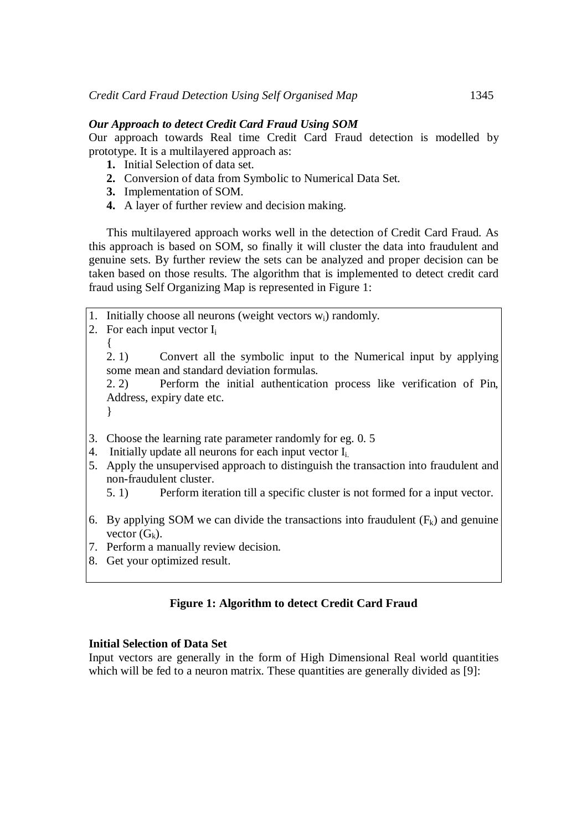### *Our Approach to detect Credit Card Fraud Using SOM*

Our approach towards Real time Credit Card Fraud detection is modelled by prototype. It is a multilayered approach as:

- **1.** Initial Selection of data set.
- **2.** Conversion of data from Symbolic to Numerical Data Set.
- **3.** Implementation of SOM.
- **4.** A layer of further review and decision making.

This multilayered approach works well in the detection of Credit Card Fraud. As this approach is based on SOM, so finally it will cluster the data into fraudulent and genuine sets. By further review the sets can be analyzed and proper decision can be taken based on those results. The algorithm that is implemented to detect credit card fraud using Self Organizing Map is represented in Figure 1:

1. Initially choose all neurons (weight vectors  $w_i$ ) randomly.

2. For each input vector  $I_i$ 

{ 2. 1) Convert all the symbolic input to the Numerical input by applying some mean and standard deviation formulas.

2. 2) Perform the initial authentication process like verification of Pin, Address, expiry date etc.

- }
- 3. Choose the learning rate parameter randomly for eg. 0. 5
- 4. Initially update all neurons for each input vector  $I_i$
- 5. Apply the unsupervised approach to distinguish the transaction into fraudulent and non-fraudulent cluster.

5. 1) Perform iteration till a specific cluster is not formed for a input vector.

- 6. By applying SOM we can divide the transactions into fraudulent  $(F_k)$  and genuine vector  $(G_k)$ .
- 7. Perform a manually review decision.
- 8. Get your optimized result.

## **Figure 1: Algorithm to detect Credit Card Fraud**

### **Initial Selection of Data Set**

Input vectors are generally in the form of High Dimensional Real world quantities which will be fed to a neuron matrix. These quantities are generally divided as [9]: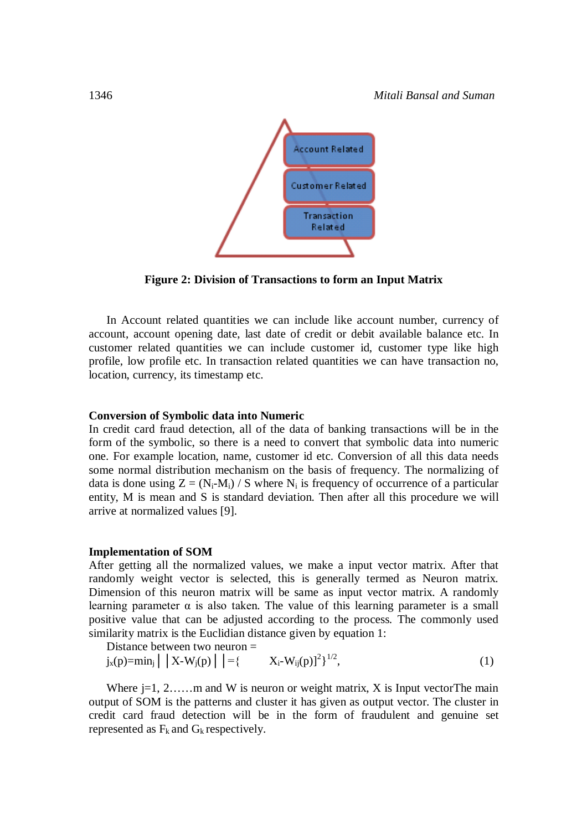1346 *Mitali Bansal and Suman*



**Figure 2: Division of Transactions to form an Input Matrix**

In Account related quantities we can include like account number, currency of account, account opening date, last date of credit or debit available balance etc. In customer related quantities we can include customer id, customer type like high profile, low profile etc. In transaction related quantities we can have transaction no, location, currency, its timestamp etc.

#### **Conversion of Symbolic data into Numeric**

In credit card fraud detection, all of the data of banking transactions will be in the form of the symbolic, so there is a need to convert that symbolic data into numeric one. For example location, name, customer id etc. Conversion of all this data needs some normal distribution mechanism on the basis of frequency. The normalizing of data is done using  $Z = (N_i-M_i) / S$  where  $N_i$  is frequency of occurrence of a particular entity, M is mean and S is standard deviation. Then after all this procedure we will arrive at normalized values [9].

#### **Implementation of SOM**

After getting all the normalized values, we make a input vector matrix. After that randomly weight vector is selected, this is generally termed as Neuron matrix. Dimension of this neuron matrix will be same as input vector matrix. A randomly learning parameter  $\alpha$  is also taken. The value of this learning parameter is a small positive value that can be adjusted according to the process. The commonly used similarity matrix is the Euclidian distance given by equation 1:

Distance between two neuron =  
\n
$$
j_x(p)=min_j |X-W_j(p)| = {X_i-W_{ij}(p)}^2
$$
<sup>1/2</sup>, (1)

Where  $j=1, 2, \ldots$  m and W is neuron or weight matrix, X is Input vectorThe main output of SOM is the patterns and cluster it has given as output vector. The cluster in credit card fraud detection will be in the form of fraudulent and genuine set represented as  $F_k$  and  $G_k$  respectively.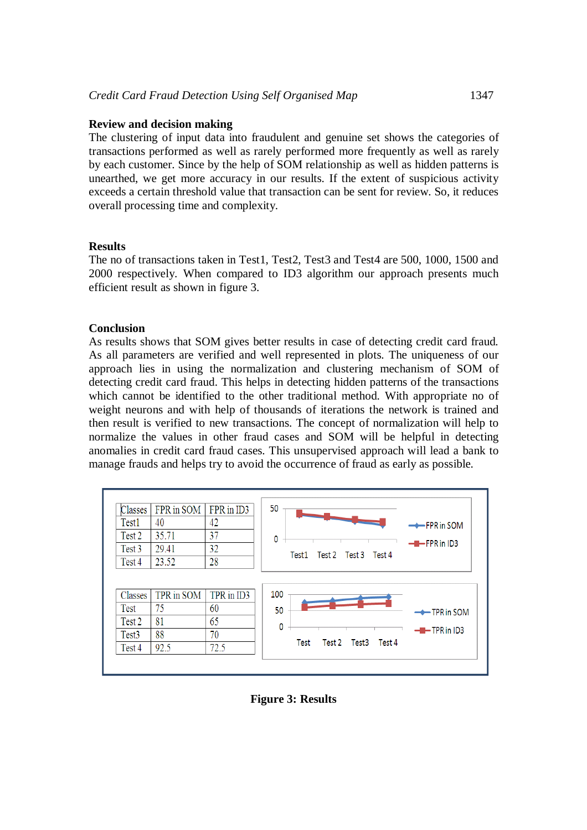### **Review and decision making**

The clustering of input data into fraudulent and genuine set shows the categories of transactions performed as well as rarely performed more frequently as well as rarely by each customer. Since by the help of SOM relationship as well as hidden patterns is unearthed, we get more accuracy in our results. If the extent of suspicious activity exceeds a certain threshold value that transaction can be sent for review. So, it reduces overall processing time and complexity.

#### **Results**

The no of transactions taken in Test1, Test2, Test3 and Test4 are 500, 1000, 1500 and 2000 respectively. When compared to ID3 algorithm our approach presents much efficient result as shown in figure 3.

#### **Conclusion**

As results shows that SOM gives better results in case of detecting credit card fraud. As all parameters are verified and well represented in plots. The uniqueness of our approach lies in using the normalization and clustering mechanism of SOM of detecting credit card fraud. This helps in detecting hidden patterns of the transactions which cannot be identified to the other traditional method. With appropriate no of weight neurons and with help of thousands of iterations the network is trained and then result is verified to new transactions. The concept of normalization will help to normalize the values in other fraud cases and SOM will be helpful in detecting anomalies in credit card fraud cases. This unsupervised approach will lead a bank to manage frauds and helps try to avoid the occurrence of fraud as early as possible.



### **Figure 3: Results**